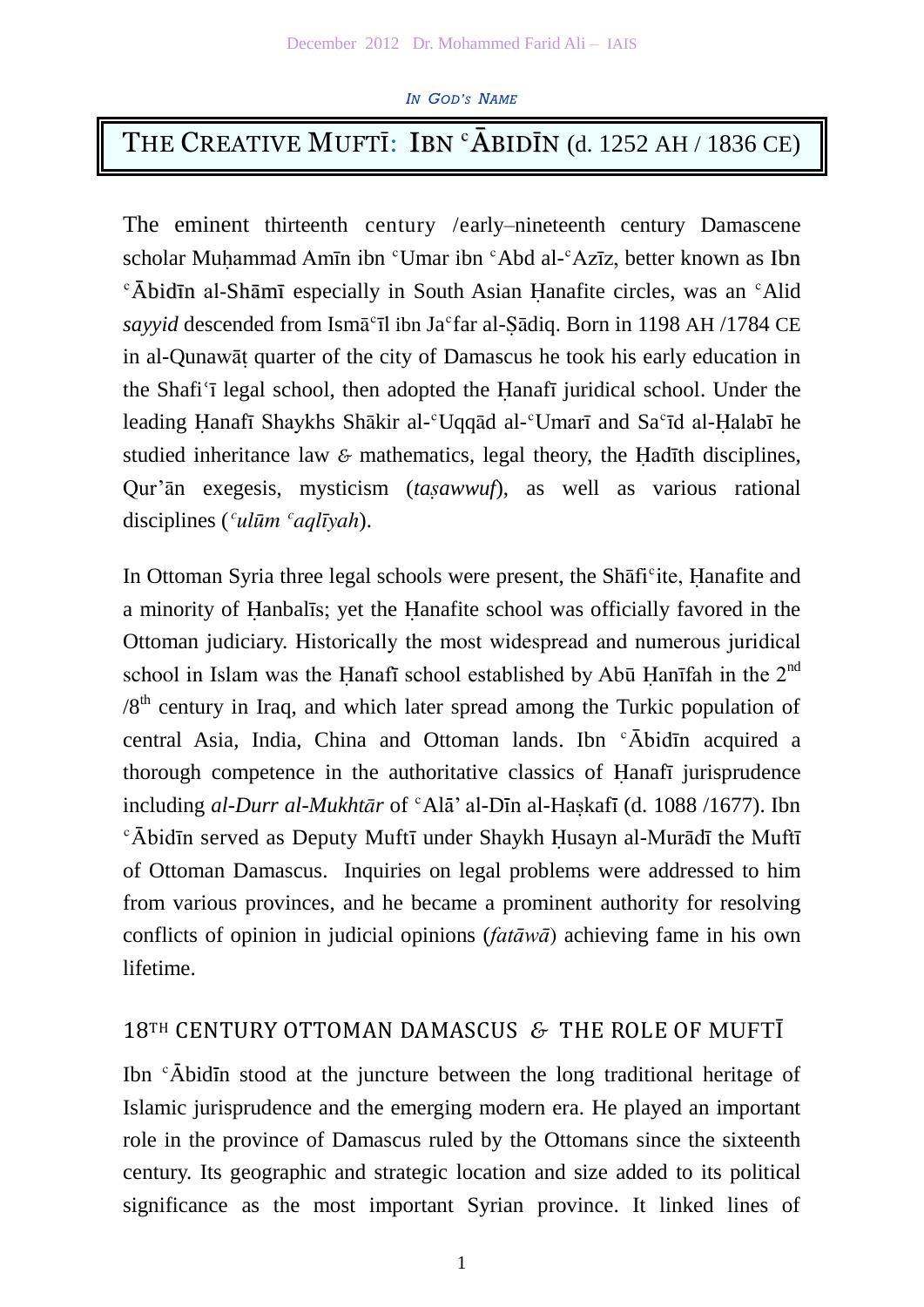#### *IN GOD'<sup>S</sup> NAME*

# THE CREATIVE MUFTI: IBN  ${}^{\circ}\bar{A}$ BIDĪN (d. 1252 AH / 1836 CE)

The eminent thirteenth century /early–nineteenth century Damascene scholar Muhammad Amīn ibn <sup>c</sup>Umar ibn <sup>c</sup>Abd al-<sup>c</sup>Azīz, better known as Ibn  $\epsilon$   $\bar{\text{A}}$ bidīn al-Shāmī especially in South Asian Hanafite circles, was an  $\epsilon$ Alid *sayyid* descended from Ismā°īl ibn Ja°far al-Şādiq. Born in 1198 AH /1784 CE in al-Qunawāṭ quarter of the city of Damascus he took his early education in the Shafi<sup>'</sup> i legal school, then adopted the Hanafi juridical school. Under the leading Hanafī Shaykhs Shākir al-<sup>c</sup>Uqqād al-<sup>c</sup>Umarī and Sa<sup>c</sup>īd al-Halabī he studied inheritance law *&* mathematics, legal theory, the Ḥadīth disciplines, Qur'ān exegesis, mysticism (*tasawwuf*), as well as various rational disciplines (*ʿulūm ʿaqlīyah*).

In Ottoman Syria three legal schools were present, the Shafi<sup>c</sup>ite, Hanafite and a minority of Ḥanbalīs; yet the Ḥanafite school was officially favored in the Ottoman judiciary. Historically the most widespread and numerous juridical school in Islam was the Hanafī school established by Abū Hanīfah in the 2<sup>nd</sup>  $/8<sup>th</sup>$  century in Iraq, and which later spread among the Turkic population of central Asia, India, China and Ottoman lands. Ibn ʿĀbidīn acquired a thorough competence in the authoritative classics of Ḥanafī jurisprudence including *al-Durr al-Mukhtār* of <sup>c</sup>Alā' al-Dīn al-Haṣkafī (d. 1088 /1677). Ibn  $\epsilon$ Ābidīn served as Deputy Muftī under Shaykh Ḥusayn al-Murādī the Muftī of Ottoman Damascus. Inquiries on legal problems were addressed to him from various provinces, and he became a prominent authority for resolving conflicts of opinion in judicial opinions (*fatāwā*) achieving fame in his own lifetime.

# 18TH CENTURY OTTOMAN DAMASCUS *&* THE ROLE OF MUFTĪ

Ibn <sup>c</sup>Abidin stood at the juncture between the long traditional heritage of Islamic jurisprudence and the emerging modern era. He played an important role in the province of Damascus ruled by the Ottomans since the sixteenth century. Its geographic and strategic location and size added to its political significance as the most important Syrian province. It linked lines of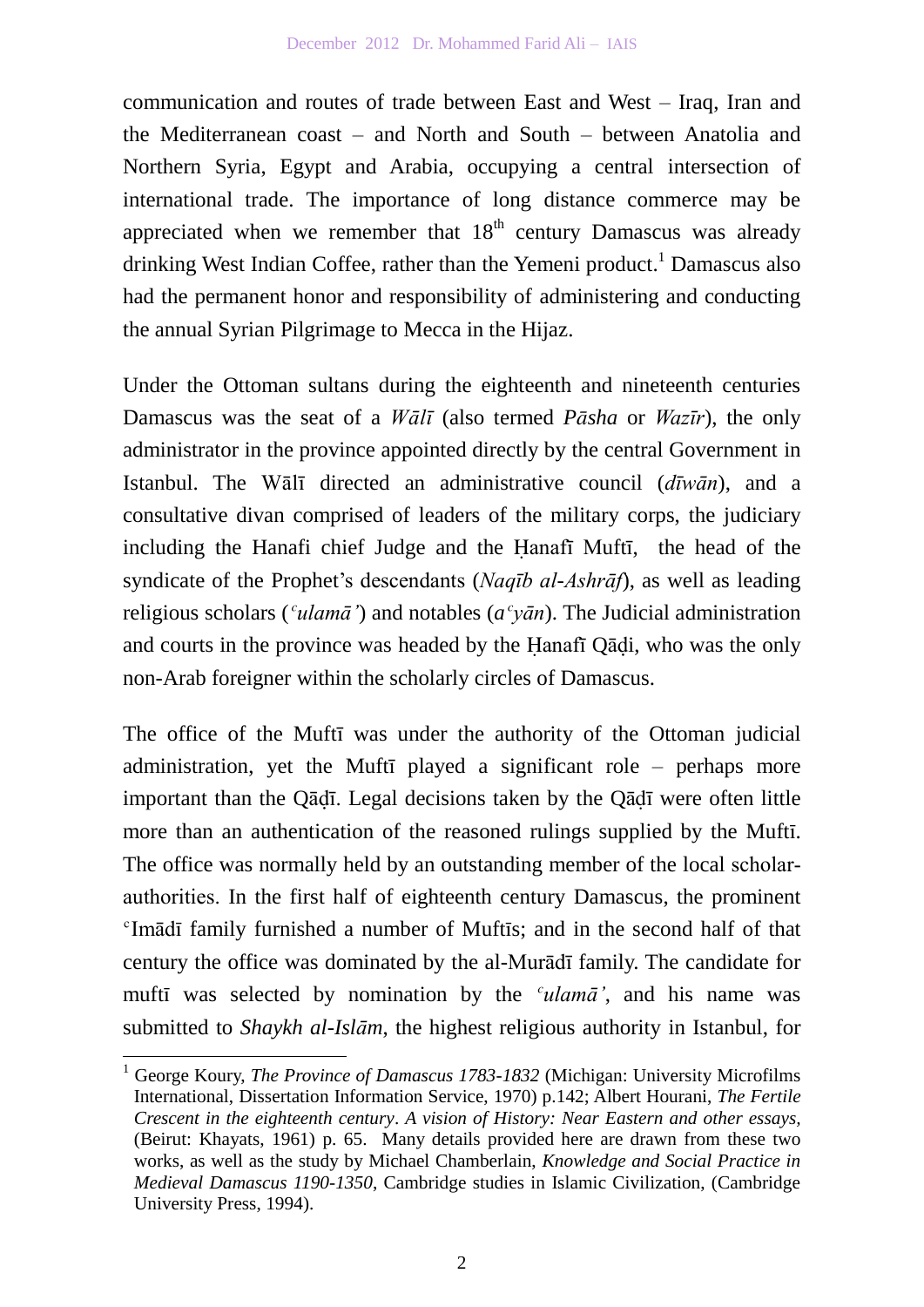communication and routes of trade between East and West – Iraq, Iran and the Mediterranean coast – and North and South – between Anatolia and Northern Syria, Egypt and Arabia, occupying a central intersection of international trade. The importance of long distance commerce may be appreciated when we remember that  $18<sup>th</sup>$  century Damascus was already drinking West Indian Coffee, rather than the Yemeni product.<sup>1</sup> Damascus also had the permanent honor and responsibility of administering and conducting the annual Syrian Pilgrimage to Mecca in the Hijaz.

Under the Ottoman sultans during the eighteenth and nineteenth centuries Damascus was the seat of a *Wālī* (also termed *Pāsha* or *Wazīr*), the only administrator in the province appointed directly by the central Government in Istanbul. The Wālī directed an administrative council (*dīwān*), and a consultative divan comprised of leaders of the military corps, the judiciary including the Hanafi chief Judge and the Ḥanafī Muftī, the head of the syndicate of the Prophet's descendants (*Naqīb al-Ashrāf*), as well as leading religious scholars (*ʿulamā'*) and notables (*aʿyān*). The Judicial administration and courts in the province was headed by the Hanafi Qādi, who was the only non-Arab foreigner within the scholarly circles of Damascus.

The office of the Muftī was under the authority of the Ottoman judicial administration, yet the Muftī played a significant role – perhaps more important than the Qāḍī. Legal decisions taken by the Qādī were often little more than an authentication of the reasoned rulings supplied by the Muftī. The office was normally held by an outstanding member of the local scholarauthorities. In the first half of eighteenth century Damascus, the prominent <sup>c</sup>Imādī family furnished a number of Muftīs; and in the second half of that century the office was dominated by the al-Murādī family. The candidate for muftī was selected by nomination by the *ʿulamā'*, and his name was submitted to *Shaykh al-Islām*, the highest religious authority in Istanbul, for

 $\overline{a}$ 

<sup>1</sup> George Koury, *The Province of Damascus 1783-1832* (Michigan: University Microfilms International, Dissertation Information Service, 1970) p.142; Albert Hourani, *The Fertile Crescent in the eighteenth century*. *A vision of History: Near Eastern and other essays,* (Beirut: Khayats, 1961) p. 65. Many details provided here are drawn from these two works, as well as the study by Michael Chamberlain, *Knowledge and Social Practice in Medieval Damascus 1190-1350*, Cambridge studies in Islamic Civilization, (Cambridge University Press, 1994).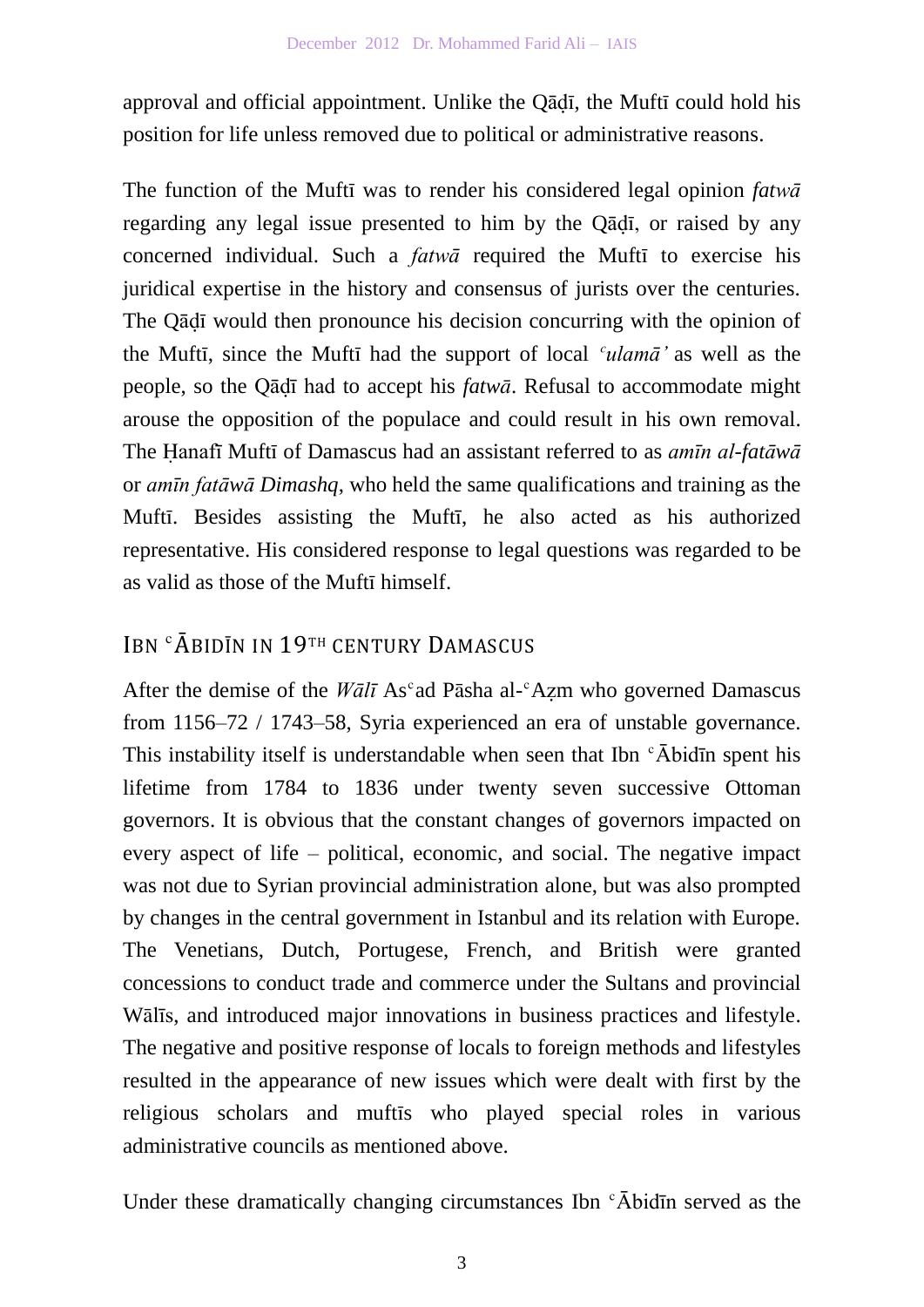approval and official appointment. Unlike the Qādī, the Muftī could hold his position for life unless removed due to political or administrative reasons.

The function of the Muftī was to render his considered legal opinion *fatwā* regarding any legal issue presented to him by the Qādī, or raised by any concerned individual. Such a *fatwā* required the Muftī to exercise his juridical expertise in the history and consensus of jurists over the centuries. The Qādī would then pronounce his decision concurring with the opinion of the Muftī, since the Muftī had the support of local *ʿulamā'* as well as the people, so the Qādī had to accept his *fatwā*. Refusal to accommodate might arouse the opposition of the populace and could result in his own removal. The Ḥanafī Muftī of Damascus had an assistant referred to as *amīn al-fatāwā* or *amīn fatāwā Dimashq*, who held the same qualifications and training as the Muftī. Besides assisting the Muftī, he also acted as his authorized representative. His considered response to legal questions was regarded to be as valid as those of the Muftī himself.

# IBN ʿĀBIDĪN IN 19TH CENTURY DAMASCUS

After the demise of the *Wālī* As<sup>c</sup>ad Pāsha al-<sup>c</sup>Azm who governed Damascus from 1156–72 / 1743–58, Syria experienced an era of unstable governance. This instability itself is understandable when seen that Ibn  $\epsilon$ Abid $\bar{\text{m}}$  spent his lifetime from 1784 to 1836 under twenty seven successive Ottoman governors. It is obvious that the constant changes of governors impacted on every aspect of life – political, economic, and social. The negative impact was not due to Syrian provincial administration alone, but was also prompted by changes in the central government in Istanbul and its relation with Europe. The Venetians, Dutch, Portugese, French, and British were granted concessions to conduct trade and commerce under the Sultans and provincial Wālīs, and introduced major innovations in business practices and lifestyle. The negative and positive response of locals to foreign methods and lifestyles resulted in the appearance of new issues which were dealt with first by the religious scholars and muftīs who played special roles in various administrative councils as mentioned above.

Under these dramatically changing circumstances Ibn  $\epsilon$ Abidin served as the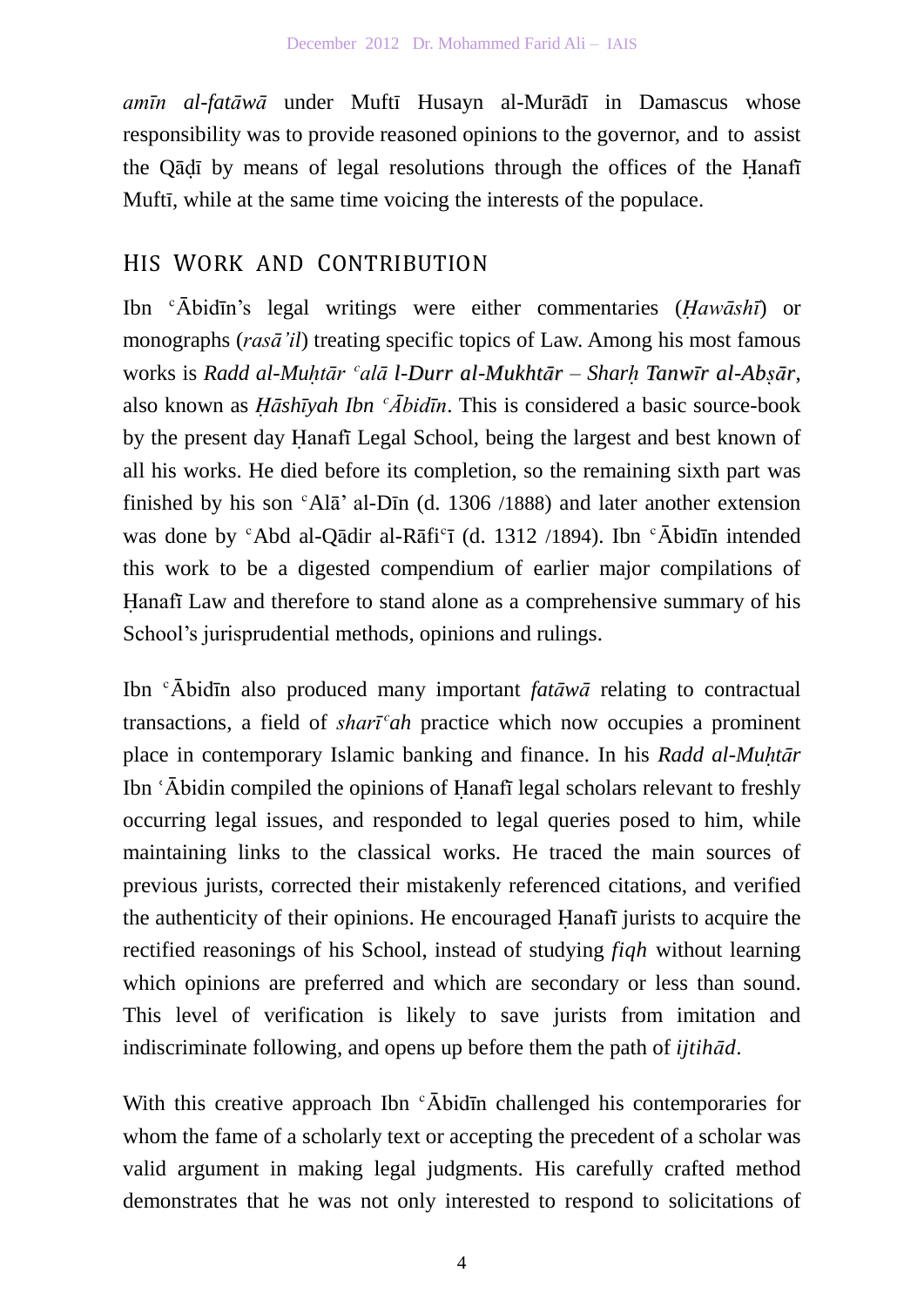*amīn al-fatāwā* under Muftī Husayn al-Murādī in Damascus whose responsibility was to provide reasoned opinions to the governor, and to assist the Qādī by means of legal resolutions through the offices of the Hanafī Muftī, while at the same time voicing the interests of the populace.

### HIS WORK AND CONTRIBUTION

Ibn ʿĀbidīn's legal writings were either commentaries (*Ḥawāshī*) or monographs (*rasā'il*) treating specific topics of Law. Among his most famous works is *Radd al-Muḥtār ʿalā l-Durr al-Mukhtār – Sharḥ Tanwīr al-Abṣār*, also known as *Ḥāshīyah Ibn ʿĀbidīn*. This is considered a basic source-book by the present day Ḥanafī Legal School, being the largest and best known of all his works. He died before its completion, so the remaining sixth part was finished by his son  $\textdegree$ Al $\bar{\text{a}}$ ' al-Dīn (d. 1306 /1888) and later another extension was done by  $c^c$ Abd al-Qādir al-Rāfi $c$ ī (d. 1312 /1894). Ibn  $c^c$ Ābidīn intended this work to be a digested compendium of earlier major compilations of Hanafi Law and therefore to stand alone as a comprehensive summary of his School's jurisprudential methods, opinions and rulings.

Ibn ʿĀbidīn also produced many important *fatāwā* relating to contractual transactions, a field of *sharīʿah* practice which now occupies a prominent place in contemporary Islamic banking and finance. In his *Radd al-Muḥtār* Ibn 'Abidin compiled the opinions of Hanafī legal scholars relevant to freshly occurring legal issues, and responded to legal queries posed to him, while maintaining links to the classical works. He traced the main sources of previous jurists, corrected their mistakenly referenced citations, and verified the authenticity of their opinions. He encouraged Ḥanafī jurists to acquire the rectified reasonings of his School, instead of studying *fiqh* without learning which opinions are preferred and which are secondary or less than sound. This level of verification is likely to save jurists from imitation and indiscriminate following, and opens up before them the path of *ijtihād*.

With this creative approach Ibn  $\epsilon$  Abidin challenged his contemporaries for whom the fame of a scholarly text or accepting the precedent of a scholar was valid argument in making legal judgments. His carefully crafted method demonstrates that he was not only interested to respond to solicitations of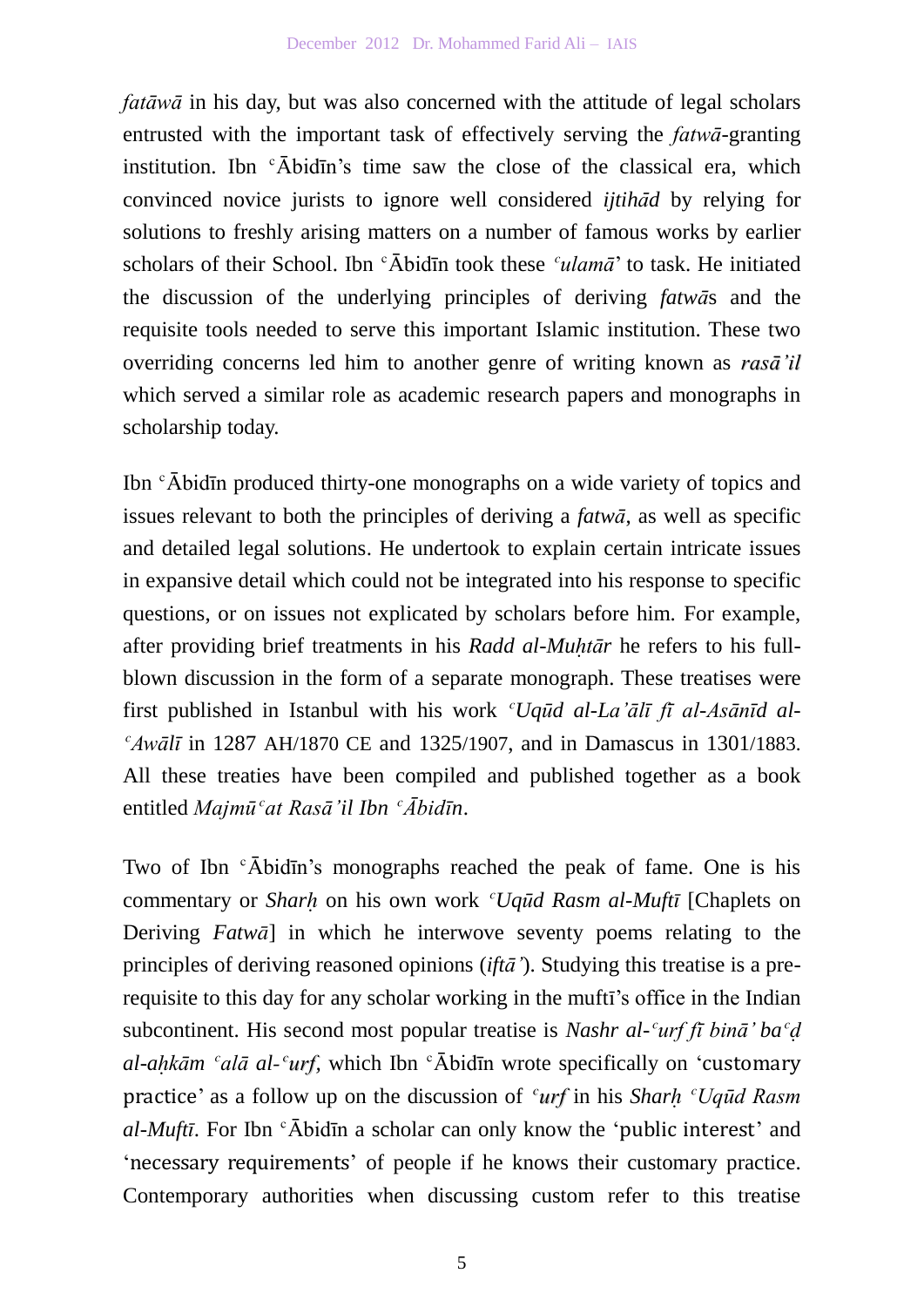*fatāwā* in his day, but was also concerned with the attitude of legal scholars entrusted with the important task of effectively serving the *fatwā*-granting institution. Ibn  $\epsilon$  Abid<sub>I</sub>  $\epsilon$  ime saw the close of the classical era, which convinced novice jurists to ignore well considered *ijtihad* by relying for solutions to freshly arising matters on a number of famous works by earlier scholars of their School. Ibn ʿĀbidīn took these *ʿulamā*' to task. He initiated the discussion of the underlying principles of deriving *fatwā*s and the requisite tools needed to serve this important Islamic institution. These two overriding concerns led him to another genre of writing known as *rasā'il* which served a similar role as academic research papers and monographs in scholarship today.

Ibn ʿĀbidīn produced thirty-one monographs on a wide variety of topics and issues relevant to both the principles of deriving a *fatwā*, as well as specific and detailed legal solutions. He undertook to explain certain intricate issues in expansive detail which could not be integrated into his response to specific questions, or on issues not explicated by scholars before him. For example, after providing brief treatments in his *Radd al-Muḥtār* he refers to his fullblown discussion in the form of a separate monograph. These treatises were first published in Istanbul with his work *ʿUqūd al-La'ālī fī al-Asānīd al-ʿAwālī* in 1287 AH/1870 CE and 1325/1907, and in Damascus in 1301/1883. All these treaties have been compiled and published together as a book entitled *Majmūʿat Rasā'il Ibn ʿĀbidīn*.

Two of Ibn  $\epsilon$ Abidin's monographs reached the peak of fame. One is his commentary or *Sharḥ* on his own work *ʿUqūd Rasm al-Muftī* [Chaplets on Deriving *Fatwā*] in which he interwove seventy poems relating to the principles of deriving reasoned opinions (*iftā'*). Studying this treatise is a prerequisite to this day for any scholar working in the muftī's office in the Indian subcontinent. His second most popular treatise is *Nashr al-ʿurf fī binā' baʿḍ al-aḥkām ʿalā al-ʿurf,* which Ibn ʿĀbidīn wrote specifically on 'customary practice' as a follow up on the discussion of *ʿurf* in his *Sharḥ ʿUqūd Rasm al-Muftī*. For Ibn ʿĀbidīn a scholar can only know the 'public interest' and 'necessary requirements' of people if he knows their customary practice. Contemporary authorities when discussing custom refer to this treatise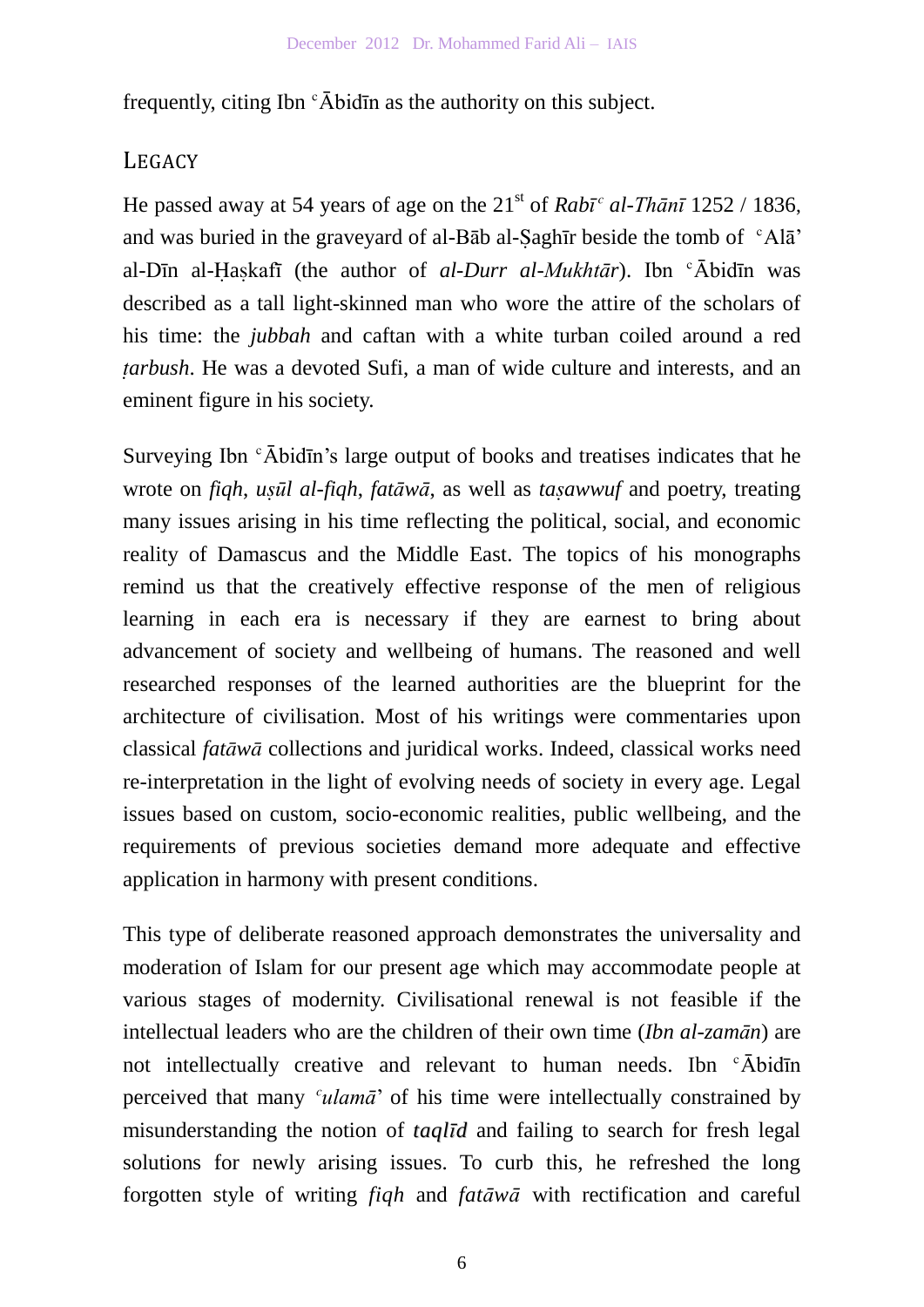frequently, citing Ibn  $\epsilon$   $\bar{A}$ bidīn as the authority on this subject.

# **LEGACY**

He passed away at 54 years of age on the  $21<sup>st</sup>$  of *Rab* $\overline{i}$ <sup>*c*</sup> *al-Thānī* 1252 / 1836, and was buried in the graveyard of al-Bāb al-Ṣaghīr beside the tomb of ʿAlā' al-Dīn al-Ḥaṣkafī (the author of *al-Durr al-Mukhtār*). Ibn ʿĀbidīn was described as a tall light-skinned man who wore the attire of the scholars of his time: the *jubbah* and caftan with a white turban coiled around a red *ṭarbush*. He was a devoted Sufi, a man of wide culture and interests, and an eminent figure in his society.

Surveying Ibn  $\epsilon$  Abid $\bar{n}$ 's large output of books and treatises indicates that he wrote on *fiqh*, *uṣūl al-fiqh*, *fatāwā*, as well as *taṣawwuf* and poetry, treating many issues arising in his time reflecting the political, social, and economic reality of Damascus and the Middle East. The topics of his monographs remind us that the creatively effective response of the men of religious learning in each era is necessary if they are earnest to bring about advancement of society and wellbeing of humans. The reasoned and well researched responses of the learned authorities are the blueprint for the architecture of civilisation. Most of his writings were commentaries upon classical *fatāwā* collections and juridical works. Indeed, classical works need re-interpretation in the light of evolving needs of society in every age. Legal issues based on custom, socio-economic realities, public wellbeing, and the requirements of previous societies demand more adequate and effective application in harmony with present conditions.

This type of deliberate reasoned approach demonstrates the universality and moderation of Islam for our present age which may accommodate people at various stages of modernity. Civilisational renewal is not feasible if the intellectual leaders who are the children of their own time (*Ibn al-zamān*) are not intellectually creative and relevant to human needs. Ibn  $\epsilon$ Abid $\bar{\text{in}}$ perceived that many *ʿulamā*' of his time were intellectually constrained by misunderstanding the notion of *taqlīd* and failing to search for fresh legal solutions for newly arising issues. To curb this, he refreshed the long forgotten style of writing *fiqh* and *fatāwā* with rectification and careful